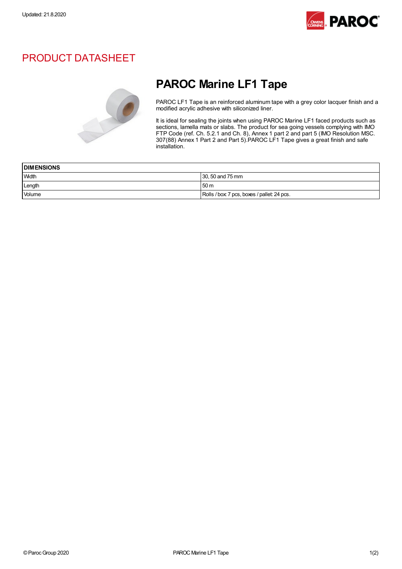

# PRODUCT DATASHEET



# PAROC Marine LF1 Tape

PAROC LF1 Tape is an reinforced aluminum tape with a grey color lacquer finish and a modified acrylic adhesive with siliconized liner.

It is ideal for sealing the joints when using PAROC Marine LF1 faced products such as sections, lamella mats or slabs. The product for sea going vessels complying with IMO FTP Code (ref. Ch. 5.2.1 and Ch. 8), Annex 1 part 2 and part 5 (IMO Resolution MSC. 307(88) Annex 1 Part 2 and Part 5).PAROC LF1 Tape gives a great finish and safe installation.

| <b>DIMENSIONS</b> |                                            |
|-------------------|--------------------------------------------|
| Width             | 30, 50 and 75 mm                           |
| Length            | 50 <sub>m</sub>                            |
| Volume            | Rolls / box 7 pcs, boxes / pallet: 24 pcs. |